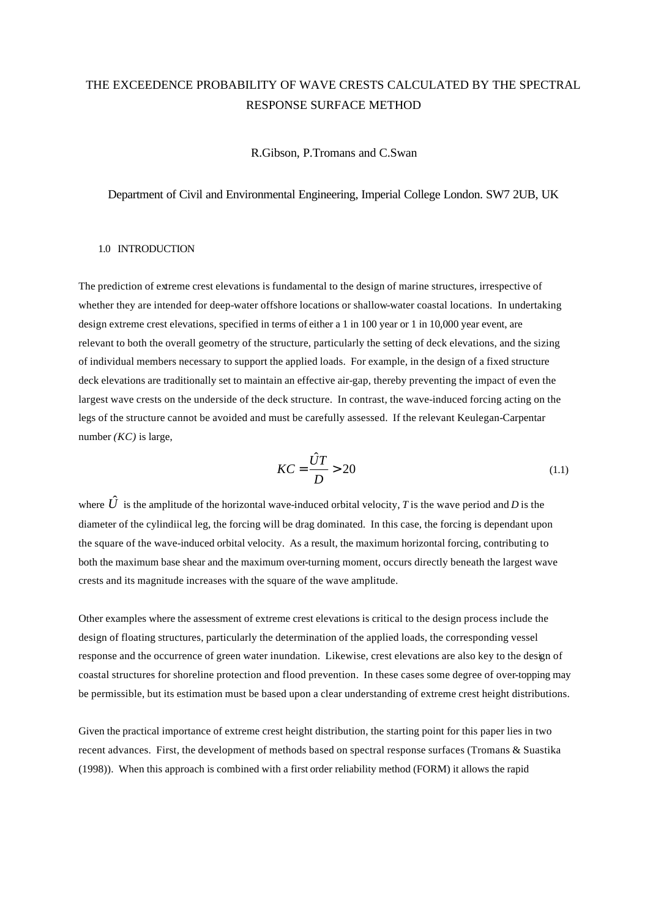# THE EXCEEDENCE PROBABILITY OF WAVE CRESTS CALCULATED BY THE SPECTRAL RESPONSE SURFACE METHOD

R.Gibson, P.Tromans and C.Swan

Department of Civil and Environmental Engineering, Imperial College London. SW7 2UB, UK

## 1.0 INTRODUCTION

The prediction of extreme crest elevations is fundamental to the design of marine structures, irrespective of whether they are intended for deep-water offshore locations or shallow-water coastal locations. In undertaking design extreme crest elevations, specified in terms of either a 1 in 100 year or 1 in 10,000 year event, are relevant to both the overall geometry of the structure, particularly the setting of deck elevations, and the sizing of individual members necessary to support the applied loads. For example, in the design of a fixed structure deck elevations are traditionally set to maintain an effective air-gap, thereby preventing the impact of even the largest wave crests on the underside of the deck structure. In contrast, the wave-induced forcing acting on the legs of the structure cannot be avoided and must be carefully assessed. If the relevant Keulegan-Carpentar number *(KC)* is large,

$$
KC = \frac{\hat{U}T}{D} > 20\tag{1.1}
$$

where  $\hat{U}$  is the amplitude of the horizontal wave-induced orbital velocity, *T* is the wave period and *D* is the diameter of the cylindiical leg, the forcing will be drag dominated. In this case, the forcing is dependant upon the square of the wave-induced orbital velocity. As a result, the maximum horizontal forcing, contributing to both the maximum base shear and the maximum over-turning moment, occurs directly beneath the largest wave crests and its magnitude increases with the square of the wave amplitude.

Other examples where the assessment of extreme crest elevations is critical to the design process include the design of floating structures, particularly the determination of the applied loads, the corresponding vessel response and the occurrence of green water inundation. Likewise, crest elevations are also key to the design of coastal structures for shoreline protection and flood prevention. In these cases some degree of over-topping may be permissible, but its estimation must be based upon a clear understanding of extreme crest height distributions.

Given the practical importance of extreme crest height distribution, the starting point for this paper lies in two recent advances. First, the development of methods based on spectral response surfaces (Tromans & Suastika (1998)). When this approach is combined with a first order reliability method (FORM) it allows the rapid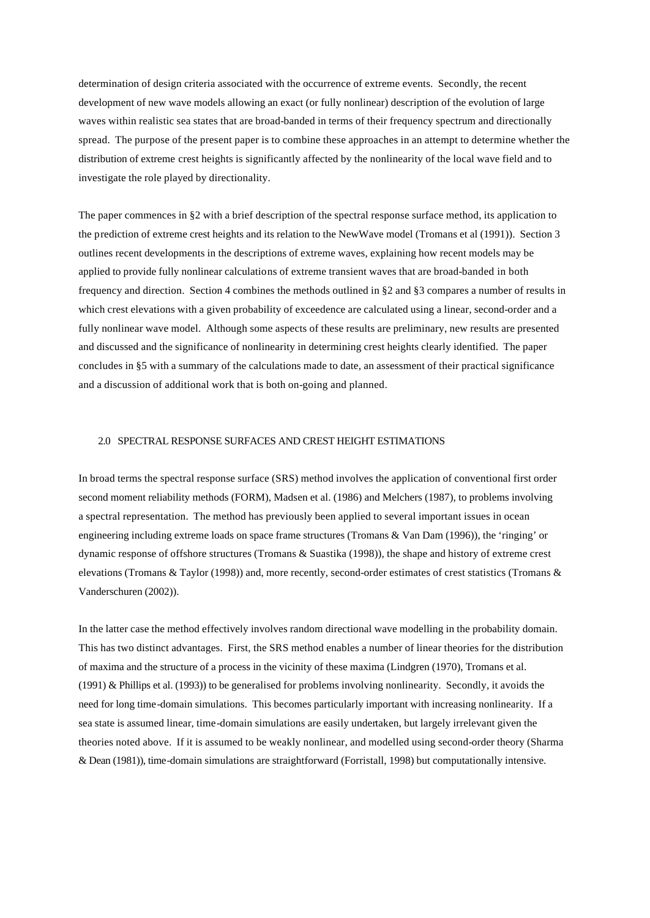determination of design criteria associated with the occurrence of extreme events. Secondly, the recent development of new wave models allowing an exact (or fully nonlinear) description of the evolution of large waves within realistic sea states that are broad-banded in terms of their frequency spectrum and directionally spread. The purpose of the present paper is to combine these approaches in an attempt to determine whether the distribution of extreme crest heights is significantly affected by the nonlinearity of the local wave field and to investigate the role played by directionality.

The paper commences in §2 with a brief description of the spectral response surface method, its application to the prediction of extreme crest heights and its relation to the NewWave model (Tromans et al (1991)). Section 3 outlines recent developments in the descriptions of extreme waves, explaining how recent models may be applied to provide fully nonlinear calculations of extreme transient waves that are broad-banded in both frequency and direction. Section 4 combines the methods outlined in §2 and §3 compares a number of results in which crest elevations with a given probability of exceedence are calculated using a linear, second-order and a fully nonlinear wave model. Although some aspects of these results are preliminary, new results are presented and discussed and the significance of nonlinearity in determining crest heights clearly identified. The paper concludes in §5 with a summary of the calculations made to date, an assessment of their practical significance and a discussion of additional work that is both on-going and planned.

### 2.0 SPECTRAL RESPONSE SURFACES AND CREST HEIGHT ESTIMATIONS

In broad terms the spectral response surface (SRS) method involves the application of conventional first order second moment reliability methods (FORM), Madsen et al. (1986) and Melchers (1987), to problems involving a spectral representation. The method has previously been applied to several important issues in ocean engineering including extreme loads on space frame structures (Tromans & Van Dam (1996)), the 'ringing' or dynamic response of offshore structures (Tromans & Suastika (1998)), the shape and history of extreme crest elevations (Tromans & Taylor (1998)) and, more recently, second-order estimates of crest statistics (Tromans & Vanderschuren (2002)).

In the latter case the method effectively involves random directional wave modelling in the probability domain. This has two distinct advantages. First, the SRS method enables a number of linear theories for the distribution of maxima and the structure of a process in the vicinity of these maxima (Lindgren (1970), Tromans et al. (1991) & Phillips et al. (1993)) to be generalised for problems involving nonlinearity. Secondly, it avoids the need for long time-domain simulations. This becomes particularly important with increasing nonlinearity. If a sea state is assumed linear, time-domain simulations are easily undertaken, but largely irrelevant given the theories noted above. If it is assumed to be weakly nonlinear, and modelled using second-order theory (Sharma & Dean (1981)), time-domain simulations are straightforward (Forristall, 1998) but computationally intensive.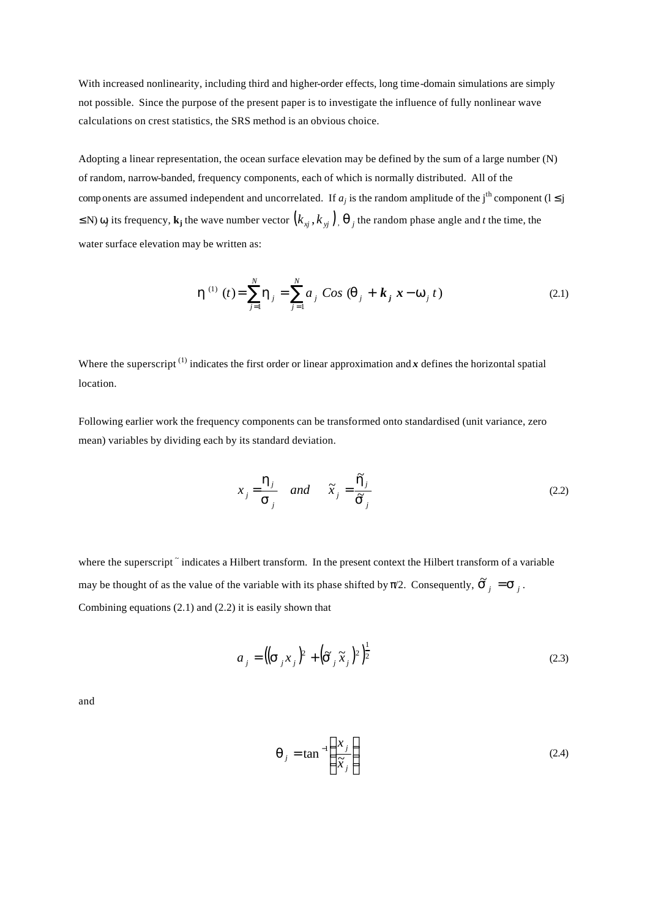With increased nonlinearity, including third and higher-order effects, long time-domain simulations are simply not possible. Since the purpose of the present paper is to investigate the influence of fully nonlinear wave calculations on crest statistics, the SRS method is an obvious choice.

Adopting a linear representation, the ocean surface elevation may be defined by the sum of a large number (N) of random, narrow-banded, frequency components, each of which is normally distributed. All of the components are assumed independent and uncorrelated. If  $a_j$  is the random amplitude of the j<sup>th</sup> component ( $1 \le j$ ) ≤ N)  $ω_j$  its frequency,  $\bf{k}_j$  the wave number vector  $(k_{xj}, k_{yj})$ ,  $\bf{q}_{j}$  the random phase angle and *t* the time, the water surface elevation may be written as:

$$
\mathbf{h}^{(1)}(t) = \sum_{j=1}^{N} \mathbf{h}_{j} = \sum_{j=1}^{N} a_{j} \cos (\mathbf{q}_{j} + \mathbf{k}_{j} \mathbf{x} - \mathbf{w}_{j} t)
$$
(2.1)

Where the superscript<sup>(1)</sup> indicates the first order or linear approximation and *x* defines the horizontal spatial location.

Following earlier work the frequency components can be transformed onto standardised (unit variance, zero mean) variables by dividing each by its standard deviation.

$$
x_j = \frac{\mathbf{h}_j}{\mathbf{s}_j} \quad and \quad \tilde{x}_j = \frac{\mathbf{h}_j}{\tilde{\mathbf{s}}_j} \tag{2.2}
$$

where the superscript  $\tilde{ }$  indicates a Hilbert transform. In the present context the Hilbert transform of a variable may be thought of as the value of the variable with its phase shifted by  $\pi/2$ . Consequently,  $\tilde{S}_j = S_j$ . Combining equations (2.1) and (2.2) it is easily shown that

$$
a_j = \left( \left( \mathbf{s}_{j} x_j \right)^2 + \left( \tilde{\mathbf{s}}_{j} \tilde{x}_j \right)^2 \right)^{\frac{1}{2}}
$$
\n(2.3)

and

$$
\boldsymbol{q}_j = \tan^{-1} \left( \frac{x_j}{\widetilde{x}_j} \right) \tag{2.4}
$$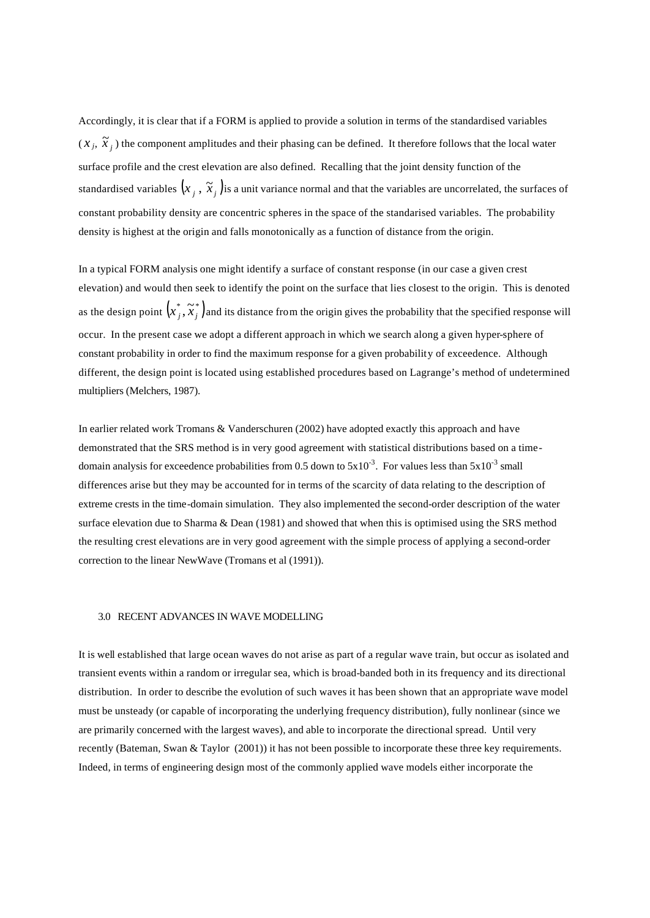Accordingly, it is clear that if a FORM is applied to provide a solution in terms of the standardised variables  $(x_j, \tilde{x}_j)$  the component amplitudes and their phasing can be defined. It therefore follows that the local water surface profile and the crest elevation are also defined. Recalling that the joint density function of the standardised variables  $(x_j, \tilde x_j)$ is a unit variance normal and that the variables are uncorrelated, the surfaces of constant probability density are concentric spheres in the space of the standarised variables. The probability density is highest at the origin and falls monotonically as a function of distance from the origin.

In a typical FORM analysis one might identify a surface of constant response (in our case a given crest elevation) and would then seek to identify the point on the surface that lies closest to the origin. This is denoted as the design point  $(x_j^*, \tilde{x}_j^*)$  and its distance from the origin gives the probability that the specified response will occur. In the present case we adopt a different approach in which we search along a given hyper-sphere of constant probability in order to find the maximum response for a given probability of exceedence. Although different, the design point is located using established procedures based on Lagrange's method of undetermined multipliers (Melchers, 1987).

In earlier related work Tromans & Vanderschuren (2002) have adopted exactly this approach and have demonstrated that the SRS method is in very good agreement with statistical distributions based on a timedomain analysis for exceedence probabilities from 0.5 down to  $5x10^{-3}$ . For values less than  $5x10^{-3}$  small differences arise but they may be accounted for in terms of the scarcity of data relating to the description of extreme crests in the time-domain simulation. They also implemented the second-order description of the water surface elevation due to Sharma & Dean (1981) and showed that when this is optimised using the SRS method the resulting crest elevations are in very good agreement with the simple process of applying a second-order correction to the linear NewWave (Tromans et al (1991)).

#### 3.0 RECENT ADVANCES IN WAVE MODELLING

It is well established that large ocean waves do not arise as part of a regular wave train, but occur as isolated and transient events within a random or irregular sea, which is broad-banded both in its frequency and its directional distribution. In order to describe the evolution of such waves it has been shown that an appropriate wave model must be unsteady (or capable of incorporating the underlying frequency distribution), fully nonlinear (since we are primarily concerned with the largest waves), and able to incorporate the directional spread. Until very recently (Bateman, Swan & Taylor (2001)) it has not been possible to incorporate these three key requirements. Indeed, in terms of engineering design most of the commonly applied wave models either incorporate the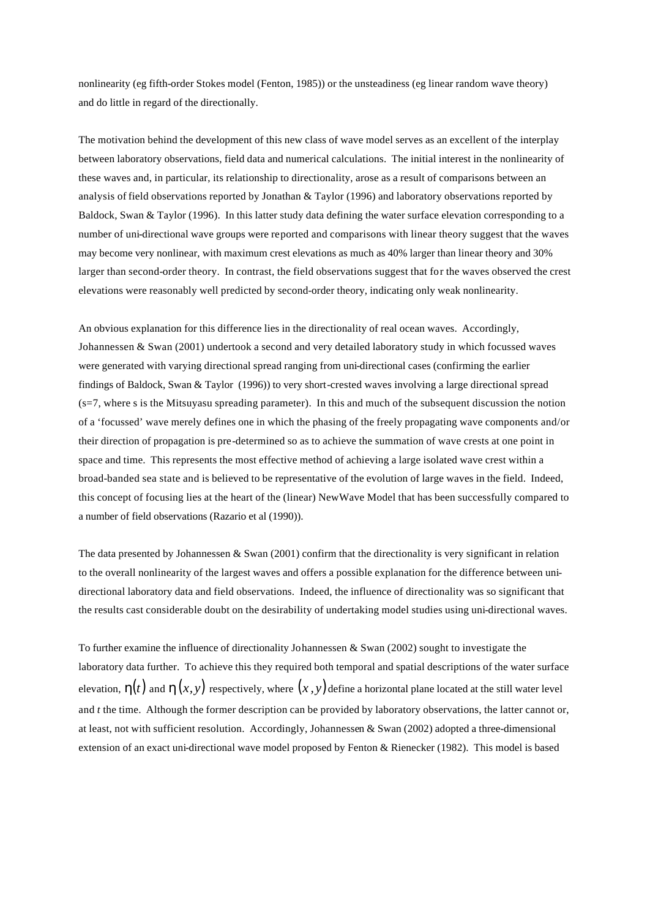nonlinearity (eg fifth-order Stokes model (Fenton, 1985)) or the unsteadiness (eg linear random wave theory) and do little in regard of the directionally.

The motivation behind the development of this new class of wave model serves as an excellent of the interplay between laboratory observations, field data and numerical calculations. The initial interest in the nonlinearity of these waves and, in particular, its relationship to directionality, arose as a result of comparisons between an analysis of field observations reported by Jonathan & Taylor (1996) and laboratory observations reported by Baldock, Swan & Taylor (1996). In this latter study data defining the water surface elevation corresponding to a number of uni-directional wave groups were reported and comparisons with linear theory suggest that the waves may become very nonlinear, with maximum crest elevations as much as 40% larger than linear theory and 30% larger than second-order theory. In contrast, the field observations suggest that for the waves observed the crest elevations were reasonably well predicted by second-order theory, indicating only weak nonlinearity.

An obvious explanation for this difference lies in the directionality of real ocean waves. Accordingly, Johannessen & Swan (2001) undertook a second and very detailed laboratory study in which focussed waves were generated with varying directional spread ranging from uni-directional cases (confirming the earlier findings of Baldock, Swan & Taylor (1996)) to very short-crested waves involving a large directional spread (s=7, where s is the Mitsuyasu spreading parameter). In this and much of the subsequent discussion the notion of a 'focussed' wave merely defines one in which the phasing of the freely propagating wave components and/or their direction of propagation is pre-determined so as to achieve the summation of wave crests at one point in space and time. This represents the most effective method of achieving a large isolated wave crest within a broad-banded sea state and is believed to be representative of the evolution of large waves in the field. Indeed, this concept of focusing lies at the heart of the (linear) NewWave Model that has been successfully compared to a number of field observations (Razario et al (1990)).

The data presented by Johannessen & Swan (2001) confirm that the directionality is very significant in relation to the overall nonlinearity of the largest waves and offers a possible explanation for the difference between unidirectional laboratory data and field observations. Indeed, the influence of directionality was so significant that the results cast considerable doubt on the desirability of undertaking model studies using uni-directional waves.

To further examine the influence of directionality Johannessen & Swan (2002) sought to investigate the laboratory data further. To achieve this they required both temporal and spatial descriptions of the water surface elevation,  $h(t)$  and  $h(x, y)$  respectively, where  $(x, y)$  define a horizontal plane located at the still water level and *t* the time. Although the former description can be provided by laboratory observations, the latter cannot or, at least, not with sufficient resolution. Accordingly, Johannessen & Swan (2002) adopted a three-dimensional extension of an exact uni-directional wave model proposed by Fenton & Rienecker (1982). This model is based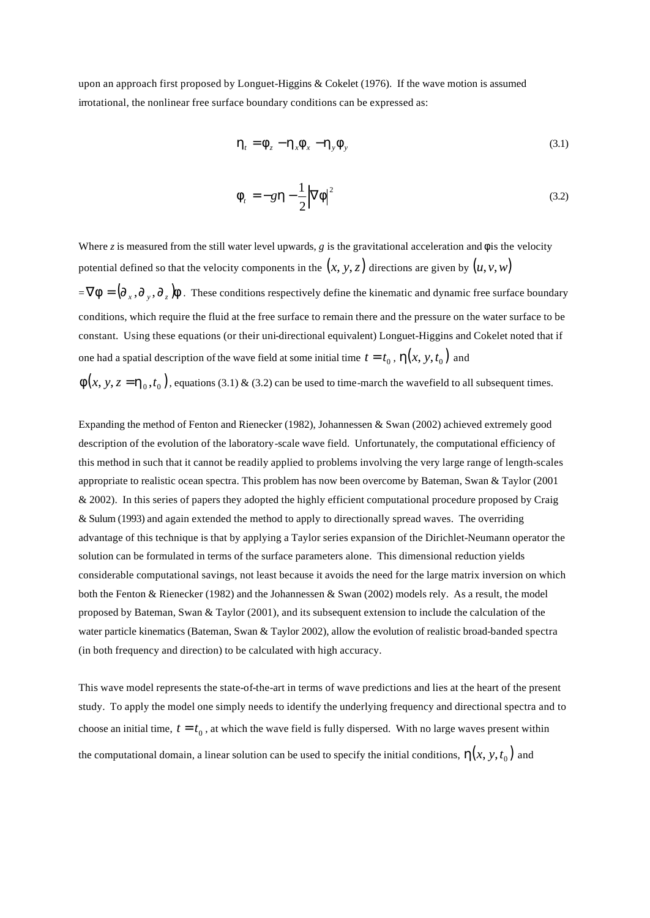upon an approach first proposed by Longuet-Higgins & Cokelet (1976). If the wave motion is assumed irrotational, the nonlinear free surface boundary conditions can be expressed as:

$$
\boldsymbol{h}_t = \boldsymbol{f}_z - \boldsymbol{h}_x \boldsymbol{f}_x - \boldsymbol{h}_y \boldsymbol{f}_y \tag{3.1}
$$

$$
\mathbf{f}_t = -g\mathbf{h} - \frac{1}{2} |\nabla \mathbf{f}|^2 \tag{3.2}
$$

Where *z* is measured from the still water level upwards, *g* is the gravitational acceleration and  $f$  is the velocity potential defined so that the velocity components in the  $(x, y, z)$  directions are given by  $(u, v, w)$  $=\nabla \bm{f} = (\partial_x, \partial_y, \partial_z) \bm{f}$ . These conditions respectively define the kinematic and dynamic free surface boundary conditions, which require the fluid at the free surface to remain there and the pressure on the water surface to be constant. Using these equations (or their uni-directional equivalent) Longuet-Higgins and Cokelet noted that if one had a spatial description of the wave field at some initial time  $t = t_0$  ,  $\mathbf{h}(x, y, t_0)$  and

 $f(x, y, z = h_0, t_0)$ , equations (3.1) & (3.2) can be used to time-march the wavefield to all subsequent times.

Expanding the method of Fenton and Rienecker (1982), Johannessen & Swan (2002) achieved extremely good description of the evolution of the laboratory-scale wave field. Unfortunately, the computational efficiency of this method in such that it cannot be readily applied to problems involving the very large range of length-scales appropriate to realistic ocean spectra. This problem has now been overcome by Bateman, Swan & Taylor (2001 & 2002). In this series of papers they adopted the highly efficient computational procedure proposed by Craig & Sulum (1993) and again extended the method to apply to directionally spread waves. The overriding advantage of this technique is that by applying a Taylor series expansion of the Dirichlet-Neumann operator the solution can be formulated in terms of the surface parameters alone. This dimensional reduction yields considerable computational savings, not least because it avoids the need for the large matrix inversion on which both the Fenton & Rienecker (1982) and the Johannessen & Swan (2002) models rely. As a result, the model proposed by Bateman, Swan & Taylor (2001), and its subsequent extension to include the calculation of the water particle kinematics (Bateman, Swan & Taylor 2002), allow the evolution of realistic broad-banded spectra (in both frequency and direction) to be calculated with high accuracy.

This wave model represents the state-of-the-art in terms of wave predictions and lies at the heart of the present study. To apply the model one simply needs to identify the underlying frequency and directional spectra and to choose an initial time,  $t = t_0$ , at which the wave field is fully dispersed. With no large waves present within the computational domain, a linear solution can be used to specify the initial conditions,  $h(x, y, t_0)$  and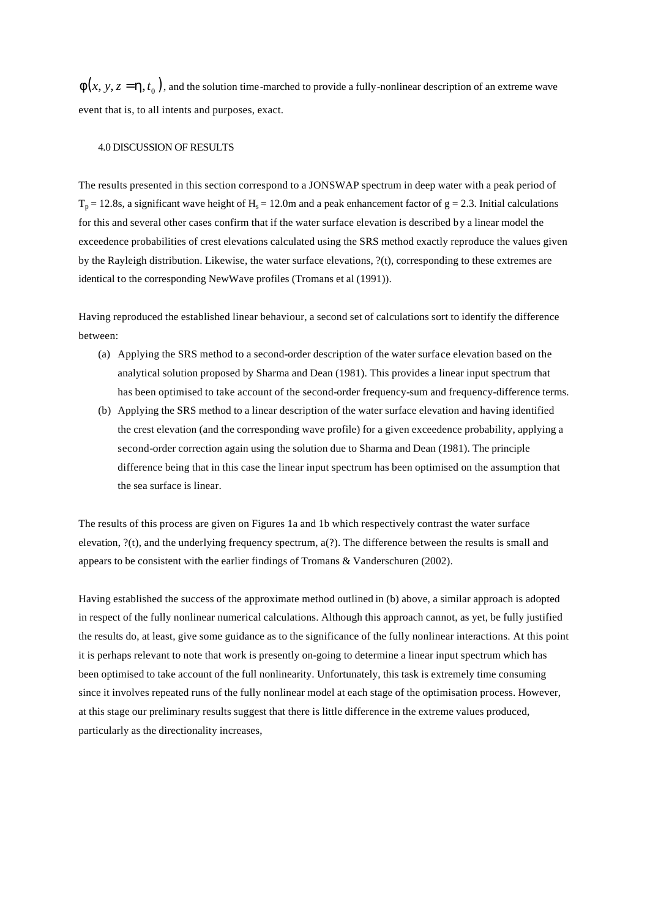$f(x, y, z = h, t_0)$ , and the solution time-marched to provide a fully-nonlinear description of an extreme wave event that is, to all intents and purposes, exact.

#### 4.0 DISCUSSION OF RESULTS

The results presented in this section correspond to a JONSWAP spectrum in deep water with a peak period of  $T_p = 12.8$ s, a significant wave height of H<sub>s</sub> = 12.0m and a peak enhancement factor of  $g = 2.3$ . Initial calculations for this and several other cases confirm that if the water surface elevation is described by a linear model the exceedence probabilities of crest elevations calculated using the SRS method exactly reproduce the values given by the Rayleigh distribution. Likewise, the water surface elevations, ?(t), corresponding to these extremes are identical to the corresponding NewWave profiles (Tromans et al (1991)).

Having reproduced the established linear behaviour, a second set of calculations sort to identify the difference between:

- (a) Applying the SRS method to a second-order description of the water surface elevation based on the analytical solution proposed by Sharma and Dean (1981). This provides a linear input spectrum that has been optimised to take account of the second-order frequency-sum and frequency-difference terms.
- (b) Applying the SRS method to a linear description of the water surface elevation and having identified the crest elevation (and the corresponding wave profile) for a given exceedence probability, applying a second-order correction again using the solution due to Sharma and Dean (1981). The principle difference being that in this case the linear input spectrum has been optimised on the assumption that the sea surface is linear.

The results of this process are given on Figures 1a and 1b which respectively contrast the water surface elevation, ?(t), and the underlying frequency spectrum, a(?). The difference between the results is small and appears to be consistent with the earlier findings of Tromans & Vanderschuren (2002).

Having established the success of the approximate method outlined in (b) above, a similar approach is adopted in respect of the fully nonlinear numerical calculations. Although this approach cannot, as yet, be fully justified the results do, at least, give some guidance as to the significance of the fully nonlinear interactions. At this point it is perhaps relevant to note that work is presently on-going to determine a linear input spectrum which has been optimised to take account of the full nonlinearity. Unfortunately, this task is extremely time consuming since it involves repeated runs of the fully nonlinear model at each stage of the optimisation process. However, at this stage our preliminary results suggest that there is little difference in the extreme values produced, particularly as the directionality increases,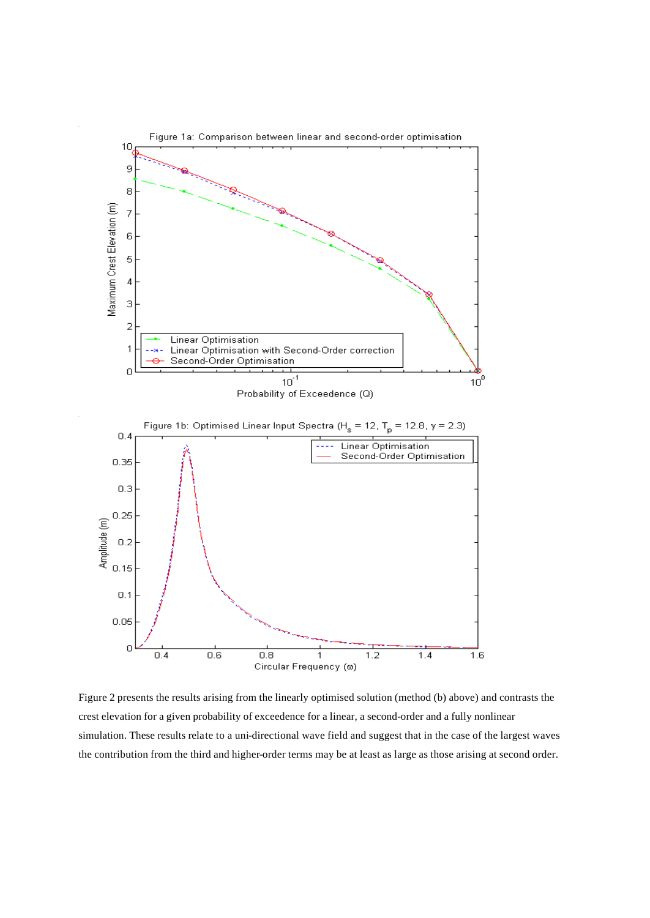

Figure 2 presents the results arising from the linearly optimised solution (method (b) above) and contrasts the crest elevation for a given probability of exceedence for a linear, a second-order and a fully nonlinear simulation. These results relate to a uni-directional wave field and suggest that in the case of the largest waves the contribution from the third and higher-order terms may be at least as large as those arising at second order.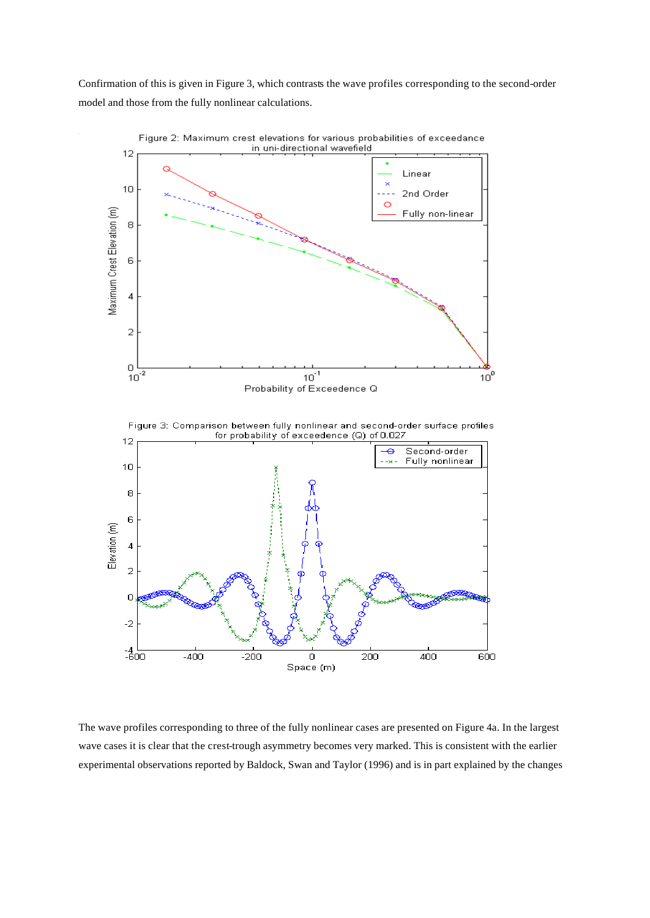Confirmation of this is given in Figure 3, which contrasts the wave profiles corresponding to the second-order model and those from the fully nonlinear calculations.



The wave profiles corresponding to three of the fully nonlinear cases are presented on Figure 4a. In the largest wave cases it is clear that the crest-trough asymmetry becomes very marked. This is consistent with the earlier experimental observations reported by Baldock, Swan and Taylor (1996) and is in part explained by the changes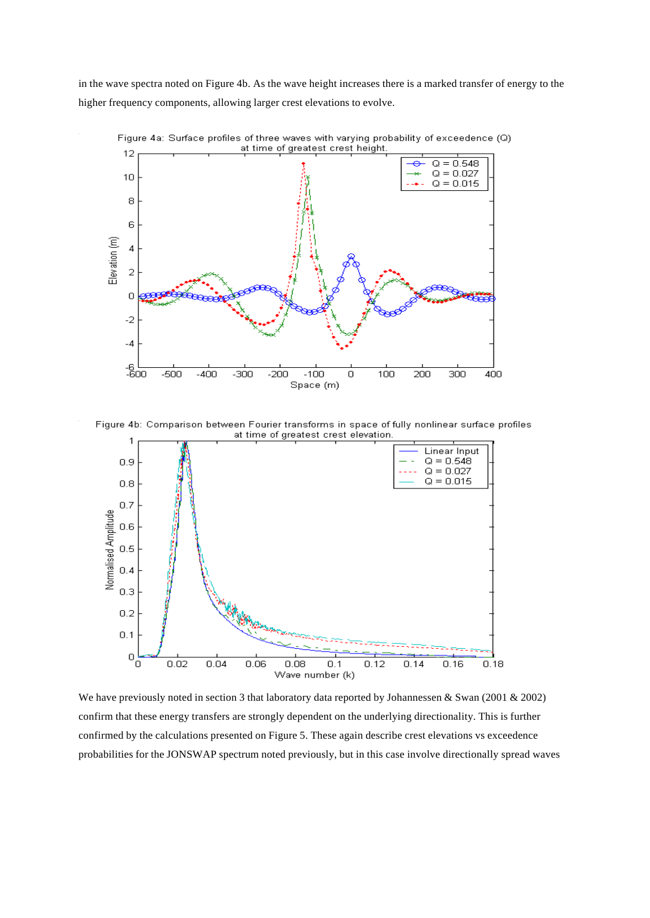in the wave spectra noted on Figure 4b. As the wave height increases there is a marked transfer of energy to the higher frequency components, allowing larger crest elevations to evolve.



Figure 4a: Surface profiles of three waves with varying probability of exceedence (Q)

Figure 4b: Comparison between Fourier transforms in space of fully nonlinear surface profiles at time of greatest crest elevation.



We have previously noted in section 3 that laboratory data reported by Johannessen & Swan (2001 & 2002) confirm that these energy transfers are strongly dependent on the underlying directionality. This is further confirmed by the calculations presented on Figure 5. These again describe crest elevations vs exceedence probabilities for the JONSWAP spectrum noted previously, but in this case involve directionally spread waves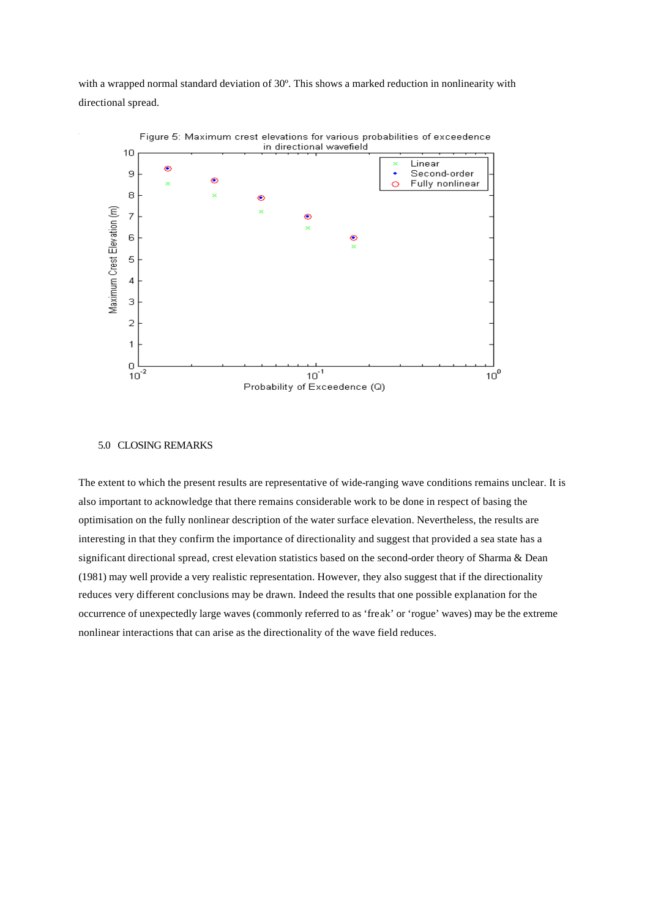with a wrapped normal standard deviation of 30º. This shows a marked reduction in nonlinearity with directional spread.



#### 5.0 CLOSING REMARKS

The extent to which the present results are representative of wide-ranging wave conditions remains unclear. It is also important to acknowledge that there remains considerable work to be done in respect of basing the optimisation on the fully nonlinear description of the water surface elevation. Nevertheless, the results are interesting in that they confirm the importance of directionality and suggest that provided a sea state has a significant directional spread, crest elevation statistics based on the second-order theory of Sharma & Dean (1981) may well provide a very realistic representation. However, they also suggest that if the directionality reduces very different conclusions may be drawn. Indeed the results that one possible explanation for the occurrence of unexpectedly large waves (commonly referred to as 'freak' or 'rogue' waves) may be the extreme nonlinear interactions that can arise as the directionality of the wave field reduces.